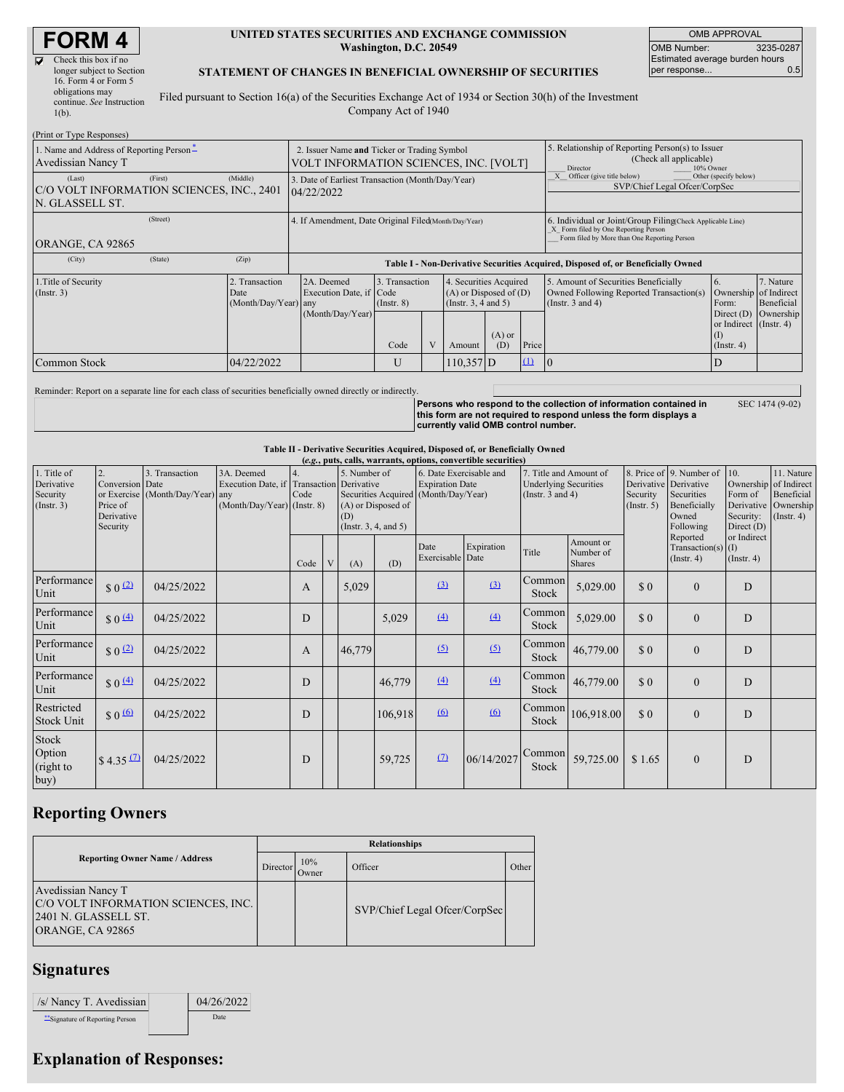# **FORM 4**

| Check this box if no      |  |
|---------------------------|--|
| longer subject to Section |  |
| 16. Form 4 or Form 5      |  |
| obligations may           |  |
| continue. See Instruction |  |
| $1(b)$ .                  |  |
|                           |  |

#### **UNITED STATES SECURITIES AND EXCHANGE COMMISSION Washington, D.C. 20549**

OMB APPROVAL OMB Number: 3235-0287 Estimated average burden hours<br>per response... 0.5 per response...

SEC 1474 (9-02)

#### **STATEMENT OF CHANGES IN BENEFICIAL OWNERSHIP OF SECURITIES**

Filed pursuant to Section 16(a) of the Securities Exchange Act of 1934 or Section 30(h) of the Investment Company Act of 1940

| (Print or Type Responses)                                                         |                                                                                       |                                                                                                                                                                                                      |   |                 |             |                                                                                                          |                                                                                                           |                                                                                                                                                    |                       |  |
|-----------------------------------------------------------------------------------|---------------------------------------------------------------------------------------|------------------------------------------------------------------------------------------------------------------------------------------------------------------------------------------------------|---|-----------------|-------------|----------------------------------------------------------------------------------------------------------|-----------------------------------------------------------------------------------------------------------|----------------------------------------------------------------------------------------------------------------------------------------------------|-----------------------|--|
| 1. Name and Address of Reporting Person-<br>Avedissian Nancy T                    | 2. Issuer Name and Ticker or Trading Symbol<br>VOLT INFORMATION SCIENCES, INC. [VOLT] |                                                                                                                                                                                                      |   |                 |             |                                                                                                          | 5. Relationship of Reporting Person(s) to Issuer<br>(Check all applicable)<br>Director<br>10% Owner       |                                                                                                                                                    |                       |  |
| (First)<br>(Last)<br>C/O VOLT INFORMATION SCIENCES, INC., 2401<br>N. GLASSELL ST. | (Middle)                                                                              | 3. Date of Earliest Transaction (Month/Day/Year)<br>04/22/2022                                                                                                                                       |   |                 |             |                                                                                                          |                                                                                                           | Officer (give title below)<br>SVP/Chief Legal Ofcer/CorpSec                                                                                        | Other (specify below) |  |
| (Street)<br>ORANGE, CA 92865                                                      |                                                                                       | 4. If Amendment, Date Original Filed(Month/Day/Year)                                                                                                                                                 |   |                 |             |                                                                                                          |                                                                                                           | 6. Individual or Joint/Group Filing(Check Applicable Line)<br>X Form filed by One Reporting Person<br>Form filed by More than One Reporting Person |                       |  |
| (City)<br>(State)                                                                 | (Zip)                                                                                 | Table I - Non-Derivative Securities Acquired, Disposed of, or Beneficially Owned                                                                                                                     |   |                 |             |                                                                                                          |                                                                                                           |                                                                                                                                                    |                       |  |
| 1. Title of Security<br>$($ Instr. 3 $)$                                          | 2. Transaction<br>Date<br>(Month/Day/Year) any                                        | 2A. Deemed<br>3. Transaction<br>4. Securities Acquired<br>Execution Date, if Code<br>$(A)$ or Disposed of $(D)$<br>(Instr. $3, 4$ and $5$ )<br>$($ Instr. $8)$<br>(Month/Day/Year)<br>Code<br>Amount |   | $(A)$ or<br>(D) | Price       | 5. Amount of Securities Beneficially<br>Owned Following Reported Transaction(s)<br>(Instr. $3$ and $4$ ) | 6.<br>Ownership of Indirect<br>Form:<br>Direct $(D)$<br>or Indirect (Instr. 4)<br>(1)<br>$($ Instr. 4 $)$ | 7. Nature<br>Beneficial<br>Ownership                                                                                                               |                       |  |
| Common Stock                                                                      | 04/22/2022                                                                            |                                                                                                                                                                                                      | U |                 | $110,357$ D |                                                                                                          | $\Omega$                                                                                                  |                                                                                                                                                    | D                     |  |

Reminder: Report on a separate line for each class of securities beneficially owned directly or indirectly.

**Persons who respond to the collection of information contained in this form are not required to respond unless the form displays a currently valid OMB control number.**

#### **Table II - Derivative Securities Acquired, Disposed of, or Beneficially Owned**

| (e.g., puts, calls, warrants, options, convertible securities) |                                                             |                                                    |                                                                             |                          |   |                                                                                                                              |         |                                                   |            |                                                                                 |                                         |                                                      |                                                                                  |                                                                                            |                                                           |
|----------------------------------------------------------------|-------------------------------------------------------------|----------------------------------------------------|-----------------------------------------------------------------------------|--------------------------|---|------------------------------------------------------------------------------------------------------------------------------|---------|---------------------------------------------------|------------|---------------------------------------------------------------------------------|-----------------------------------------|------------------------------------------------------|----------------------------------------------------------------------------------|--------------------------------------------------------------------------------------------|-----------------------------------------------------------|
| 1. Title of<br>Derivative<br>Security<br>$($ Instr. 3 $)$      | 2.<br>Conversion Date<br>Price of<br>Derivative<br>Security | 3. Transaction<br>or Exercise (Month/Day/Year) any | 3A. Deemed<br>Execution Date, if Transaction<br>(Month/Day/Year) (Instr. 8) | $\overline{4}$ .<br>Code |   | 5. Number of<br>Derivative<br>Securities Acquired (Month/Day/Year)<br>(A) or Disposed of<br>(D)<br>(Instr. $3, 4,$ and $5$ ) |         | 6. Date Exercisable and<br><b>Expiration Date</b> |            | 7. Title and Amount of<br><b>Underlying Securities</b><br>(Instr. $3$ and $4$ ) |                                         | Derivative Derivative<br>Security<br>(Insert. 5)     | 8. Price of 9. Number of 10.<br>Securities<br>Beneficially<br>Owned<br>Following | Ownership of Indirect<br>Form of<br>Derivative<br>Security:<br>Direct $(D)$<br>or Indirect | 11. Nature<br>Beneficial<br>Ownership<br>$($ Instr. 4 $)$ |
|                                                                |                                                             |                                                    |                                                                             | Code                     | V | (A)                                                                                                                          | (D)     | Date<br>Exercisable Date                          | Expiration | Title                                                                           | Amount or<br>Number of<br><b>Shares</b> | Reported<br>Transaction(s) $(I)$<br>$($ Instr. 4 $)$ |                                                                                  | $($ Instr. 4 $)$                                                                           |                                                           |
| Performance<br>Unit                                            | \$0 <sup>(2)</sup>                                          | 04/25/2022                                         |                                                                             | A                        |   | 5,029                                                                                                                        |         | (3)                                               | (3)        | Common<br>Stock                                                                 | 5,029.00                                | $\Omega$                                             | $\mathbf{0}$                                                                     | D                                                                                          |                                                           |
| Performance<br>Unit                                            | $$0 \frac{(4)}{2}$                                          | 04/25/2022                                         |                                                                             | D                        |   |                                                                                                                              | 5,029   | (4)                                               | (4)        | Common<br>Stock                                                                 | 5,029.00                                | \$0                                                  | $\mathbf{0}$                                                                     | D                                                                                          |                                                           |
| Performance<br>Unit                                            | $\frac{1}{2}$ 0 $\frac{1}{2}$                               | 04/25/2022                                         |                                                                             | A                        |   | 46,779                                                                                                                       |         | (5)                                               | (5)        | Common<br>Stock                                                                 | 46,779.00                               | $\Omega$                                             | $\mathbf{0}$                                                                     | D                                                                                          |                                                           |
| Performance<br>Unit                                            | $$0 \frac{(4)}{2}$                                          | 04/25/2022                                         |                                                                             | D                        |   |                                                                                                                              | 46,779  | (4)                                               | (4)        | Common<br>Stock                                                                 | 46,779.00                               | $\Omega$                                             | $\mathbf{0}$                                                                     | D                                                                                          |                                                           |
| Restricted<br><b>Stock Unit</b>                                | $$0 \underline{6}$                                          | 04/25/2022                                         |                                                                             | D                        |   |                                                                                                                              | 106,918 | 6                                                 | 60         | Stock                                                                           | Common 106,918.00                       | $\Omega$                                             | $\mathbf{0}$                                                                     | D                                                                                          |                                                           |
| Stock<br>Option<br>(right to<br>buy)                           | $$4.35 \Omega$                                              | 04/25/2022                                         |                                                                             | D                        |   |                                                                                                                              | 59,725  | (7)                                               | 06/14/2027 | Common<br>Stock                                                                 | 59,725.00                               | \$1.65                                               | $\mathbf{0}$                                                                     | D                                                                                          |                                                           |

### **Reporting Owners**

|                                                                                                       | <b>Relationships</b> |               |                               |       |  |  |  |  |
|-------------------------------------------------------------------------------------------------------|----------------------|---------------|-------------------------------|-------|--|--|--|--|
| <b>Reporting Owner Name / Address</b>                                                                 | Director             | 10%<br>Owner) | Officer                       | Other |  |  |  |  |
| Avedissian Nancy T<br>C/O VOLT INFORMATION SCIENCES, INC.<br>2401 N. GLASSELL ST.<br>ORANGE, CA 92865 |                      |               | SVP/Chief Legal Ofcer/CorpSec |       |  |  |  |  |

### **Signatures**

| /s/ Nancy T. Avedissian          | 04/26/2022  |
|----------------------------------|-------------|
| ** Signature of Reporting Person | <b>Date</b> |

## **Explanation of Responses:**